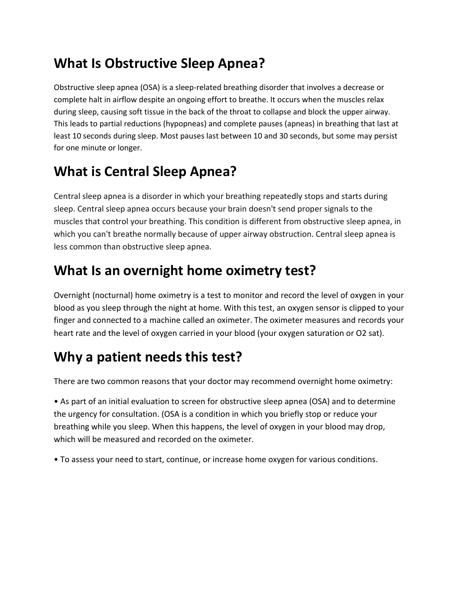## **What Is Obstructive Sleep Apnea?**

Obstructive sleep apnea (OSA) is a sleep-related breathing disorder that involves a decrease or complete halt in airflow despite an ongoing effort to breathe. It occurs when the muscles relax during sleep, causing soft tissue in the back of the throat to collapse and block the upper airway. This leads to partial reductions (hypopneas) and complete pauses (apneas) in breathing that last at least 10 seconds during sleep. Most pauses last between 10 and 30 seconds, but some may persist for one minute or longer.

# **What is Central Sleep Apnea?**

Central sleep apnea is a disorder in which your breathing repeatedly stops and starts during sleep. Central sleep apnea occurs because your brain doesn't send proper signals to the muscles that control your breathing. This condition is different from obstructive sleep apnea, in which you can't breathe normally because of upper airway obstruction. Central sleep apnea is less common than obstructive sleep apnea.

### **What Is an overnight home oximetry test?**

Overnight (nocturnal) home oximetry is a test to monitor and record the level of oxygen in your blood as you sleep through the night at home. With this test, an oxygen sensor is clipped to your finger and connected to a machine called an oximeter. The oximeter measures and records your heart rate and the level of oxygen carried in your blood (your oxygen saturation or O2 sat).

### **Why a patient needs this test?**

There are two common reasons that your doctor may recommend overnight home oximetry:

• As part of an initial evaluation to screen for obstructive sleep apnea (OSA) and to determine the urgency for consultation. (OSA is a condition in which you briefly stop or reduce your breathing while you sleep. When this happens, the level of oxygen in your blood may drop, which will be measured and recorded on the oximeter.

• To assess your need to start, continue, or increase home oxygen for various conditions.